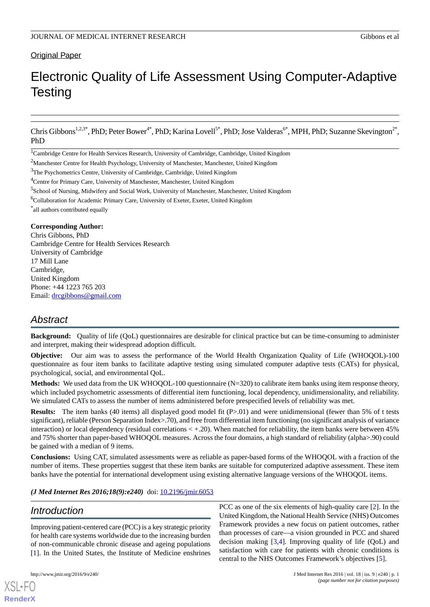## Original Paper

# Electronic Quality of Life Assessment Using Computer-Adaptive **Testing**

Chris Gibbons<sup>1,2,3\*</sup>, PhD; Peter Bower<sup>4\*</sup>, PhD; Karina Lovell<sup>5\*</sup>, PhD; Jose Valderas<sup>6\*</sup>, MPH, PhD; Suzanne Skevington<sup>2\*</sup>, PhD

<sup>1</sup>Cambridge Centre for Health Services Research, University of Cambridge, Cambridge, United Kingdom

<sup>3</sup>The Psychometrics Centre, University of Cambridge, Cambridge, United Kingdom

<sup>4</sup>Centre for Primary Care, University of Manchester, Manchester, United Kingdom

<sup>5</sup>School of Nursing, Midwifery and Social Work, University of Manchester, Manchester, United Kingdom

<sup>6</sup>Collaboration for Academic Primary Care, University of Exeter, Exeter, United Kingdom

\* all authors contributed equally

#### **Corresponding Author:**

Chris Gibbons, PhD Cambridge Centre for Health Services Research University of Cambridge 17 Mill Lane Cambridge, United Kingdom Phone: +44 1223 765 203 Email: [drcgibbons@gmail.com](mailto:drcgibbons@gmail.com)

# *Abstract*

**Background:** Ouality of life (OoL) questionnaires are desirable for clinical practice but can be time-consuming to administer and interpret, making their widespread adoption difficult.

**Objective:** Our aim was to assess the performance of the World Health Organization Quality of Life (WHOQOL)-100 questionnaire as four item banks to facilitate adaptive testing using simulated computer adaptive tests (CATs) for physical, psychological, social, and environmental QoL.

**Methods:** We used data from the UK WHOQOL-100 questionnaire (N=320) to calibrate item banks using item response theory, which included psychometric assessments of differential item functioning, local dependency, unidimensionality, and reliability. We simulated CATs to assess the number of items administered before prespecified levels of reliability was met.

**Results:** The item banks (40 items) all displayed good model fit (P>.01) and were unidimensional (fewer than 5% of t tests significant), reliable (Person Separation Index>.70), and free from differential item functioning (no significant analysis of variance interaction) or local dependency (residual correlations  $\lt +.20$ ). When matched for reliability, the item banks were between 45% and 75% shorter than paper-based WHOQOL measures. Across the four domains, a high standard of reliability (alpha>.90) could be gained with a median of 9 items.

**Conclusions:** Using CAT, simulated assessments were as reliable as paper-based forms of the WHOQOL with a fraction of the number of items. These properties suggest that these item banks are suitable for computerized adaptive assessment. These item banks have the potential for international development using existing alternative language versions of the WHOQOL items.

*(J Med Internet Res 2016;18(9):e240)* doi: [10.2196/jmir.6053](http://dx.doi.org/10.2196/jmir.6053)

# *Introduction*

Improving patient-centered care (PCC) is a key strategic priority for health care systems worldwide due to the increasing burden of non-communicable chronic disease and ageing populations [[1\]](#page-7-0). In the United States, the Institute of Medicine enshrines

[XSL](http://www.w3.org/Style/XSL)•FO **[RenderX](http://www.renderx.com/)**

PCC as one of the six elements of high-quality care [\[2](#page-7-1)]. In the United Kingdom, the National Health Service (NHS) Outcomes Framework provides a new focus on patient outcomes, rather than processes of care—a vision grounded in PCC and shared decision making [[3,](#page-7-2)[4](#page-7-3)]. Improving quality of life (QoL) and satisfaction with care for patients with chronic conditions is central to the NHS Outcomes Framework's objectives [[5\]](#page-7-4).

 $2$ Manchester Centre for Health Psychology, University of Manchester, Manchester, United Kingdom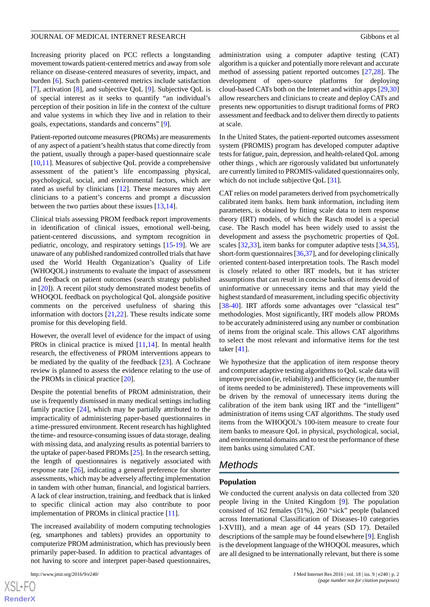Increasing priority placed on PCC reflects a longstanding movement towards patient-centered metrics and away from sole reliance on disease-centered measures of severity, impact, and burden [\[6\]](#page-7-5). Such patient-centered metrics include satisfaction [[7\]](#page-7-6), activation [\[8](#page-7-7)], and subjective QoL [[9\]](#page-7-8). Subjective QoL is of special interest as it seeks to quantify "an individual's perception of their position in life in the context of the culture and value systems in which they live and in relation to their goals, expectations, standards and concerns" [\[9\]](#page-7-8).

Patient-reported outcome measures (PROMs) are measurements of any aspect of a patient's health status that come directly from the patient, usually through a paper-based questionnaire scale [[10](#page-7-9)[,11](#page-7-10)]. Measures of subjective QoL provide a comprehensive assessment of the patient's life encompassing physical, psychological, social, and environmental factors, which are rated as useful by clinicians [\[12](#page-7-11)]. These measures may alert clinicians to a patient's concerns and prompt a discussion between the two parties about these issues [\[13](#page-7-12),[14\]](#page-7-13).

Clinical trials assessing PROM feedback report improvements in identification of clinical issues, emotional well-being, patient-centered discussions, and symptom recognition in pediatric, oncology, and respiratory settings [[15-](#page-7-14)[19\]](#page-7-15). We are unaware of any published randomized controlled trials that have used the World Health Organization's Quality of Life (WHOQOL) instruments to evaluate the impact of assessment and feedback on patient outcomes (search strategy published in [\[20](#page-7-16)]). A recent pilot study demonstrated modest benefits of WHOQOL feedback on psychological QoL alongside positive comments on the perceived usefulness of sharing this information with doctors [[21,](#page-7-17)[22\]](#page-7-18). These results indicate some promise for this developing field.

However, the overall level of evidence for the impact of using PROs in clinical practice is mixed [[11](#page-7-10)[,14](#page-7-13)]. In mental health research, the effectiveness of PROM interventions appears to be mediated by the quality of the feedback [[23\]](#page-8-0). A Cochrane review is planned to assess the evidence relating to the use of the PROMs in clinical practice [\[20](#page-7-16)].

Despite the potential benefits of PROM administration, their use is frequently dismissed in many medical settings including family practice [\[24](#page-8-1)], which may be partially attributed to the impracticality of administering paper-based questionnaires in a time-pressured environment. Recent research has highlighted the time- and resource-consuming issues of data storage, dealing with missing data, and analyzing results as potential barriers to the uptake of paper-based PROMs [[25\]](#page-8-2). In the research setting, the length of questionnaires is negatively associated with response rate [[26\]](#page-8-3), indicating a general preference for shorter assessments, which may be adversely affecting implementation in tandem with other human, financial, and logistical barriers. A lack of clear instruction, training, and feedback that is linked to specific clinical action may also contribute to poor implementation of PROMs in clinical practice [[11\]](#page-7-10).

The increased availability of modern computing technologies (eg, smartphones and tablets) provides an opportunity to computerize PROM administration, which has previously been primarily paper-based. In addition to practical advantages of not having to score and interpret paper-based questionnaires,

[XSL](http://www.w3.org/Style/XSL)•FO **[RenderX](http://www.renderx.com/)**

administration using a computer adaptive testing (CAT) algorithm is a quicker and potentially more relevant and accurate method of assessing patient reported outcomes [[27](#page-8-4)[,28](#page-8-5)]. The development of open-source platforms for deploying cloud-based CATs both on the Internet and within apps [[29](#page-8-6)[,30](#page-8-7)] allow researchers and clinicians to create and deploy CATs and presents new opportunities to disrupt traditional forms of PRO assessment and feedback and to deliver them directly to patients at scale.

In the United States, the patient-reported outcomes assessment system (PROMIS) program has developed computer adaptive tests for fatigue, pain, depression, and health-related QoL among other things *,* which are rigorously validated but unfortunately are currently limited to PROMIS-validated questionnaires only, which do not include subjective QoL [\[31](#page-8-8)].

CAT relies on model parameters derived from psychometrically calibrated item banks. Item bank information, including item parameters, is obtained by fitting scale data to item response theory (IRT) models, of which the Rasch model is a special case. The Rasch model has been widely used to assist the development and assess the psychometric properties of QoL scales [\[32](#page-8-9),[33\]](#page-8-10), item banks for computer adaptive tests [\[34](#page-8-11),[35\]](#page-8-12), short-form questionnaires [\[36](#page-8-13),[37\]](#page-8-14), and for developing clinically oriented content-based interpretation tools. The Rasch model is closely related to other IRT models, but it has stricter assumptions that can result in concise banks of items devoid of uninformative or unnecessary items and that may yield the highest standard of measurement, including specific objectivity [[38](#page-8-15)[-40](#page-8-16)]. IRT affords some advantages over "classical test" methodologies. Most significantly, IRT models allow PROMs to be accurately administered using any number or combination of items from the original scale. This allows CAT algorithms to select the most relevant and informative items for the test taker [\[41](#page-8-17)].

We hypothesize that the application of item response theory and computer adaptive testing algorithms to QoL scale data will improve precision (ie, reliability) and efficiency (ie, the number of items needed to be administered). These improvements will be driven by the removal of unnecessary items during the calibration of the item bank using IRT and the "intelligent" administration of items using CAT algorithms. The study used items from the WHOQOL's 100-item measure to create four item banks to measure QoL in physical, psychological, social, and environmental domains and to test the performance of these item banks using simulated CAT.

# *Methods*

#### **Population**

We conducted the current analysis on data collected from 320 people living in the United Kingdom [\[9](#page-7-8)]. The population consisted of 162 females (51%), 260 "sick" people (balanced across International Classification of Diseases-10 categories I-XVIII), and a mean age of 44 years (SD 17). Detailed descriptions of the sample may be found elsewhere [\[9](#page-7-8)]. English is the development language of the WHOQOL measures, which are all designed to be internationally relevant, but there is some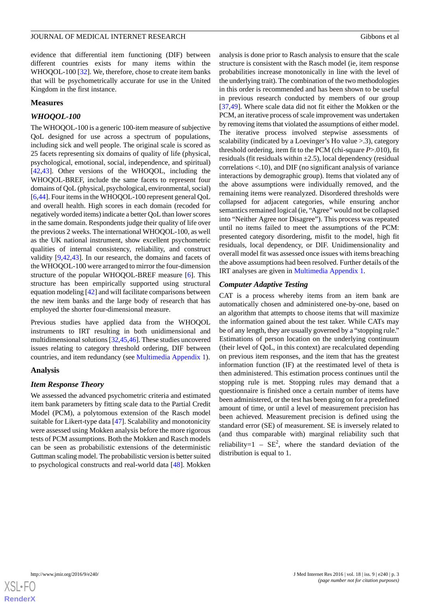evidence that differential item functioning (DIF) between different countries exists for many items within the WHOQOL-100 [[32\]](#page-8-9). We, therefore, chose to create item banks that will be psychometrically accurate for use in the United Kingdom in the first instance.

#### **Measures**

### *WHOQOL-100*

The WHOQOL-100 is a generic 100-item measure of subjective QoL designed for use across a spectrum of populations, including sick and well people. The original scale is scored as 25 facets representing six domains of quality of life (physical, psychological, emotional, social, independence, and spiritual) [[42](#page-8-18)[,43](#page-8-19)]. Other versions of the WHOQOL, including the WHOQOL-BREF, include the same facets to represent four domains of QoL (physical, psychological, environmental, social) [[6](#page-7-5)[,44](#page-8-20)]. Four items in the WHOQOL-100 represent general QoL and overall health. High scores in each domain (recoded for negatively worded items) indicate a better QoL than lower scores in the same domain. Respondents judge their quality of life over the previous 2 weeks. The international WHOQOL-100, as well as the UK national instrument, show excellent psychometric qualities of internal consistency, reliability, and construct validity [[9](#page-7-8)[,42](#page-8-18),[43\]](#page-8-19). In our research, the domains and facets of the WHOQOL-100 were arranged to mirror the four-dimension structure of the popular WHOQOL-BREF measure [[6](#page-7-5)]. This structure has been empirically supported using structural equation modeling [\[42](#page-8-18)] and will facilitate comparisons between the new item banks and the large body of research that has employed the shorter four-dimensional measure.

Previous studies have applied data from the WHOQOL instruments to IRT resulting in both unidimensional and multidimensional solutions [\[32](#page-8-9)[,45](#page-8-21),[46](#page-9-0)]. These studies uncovered issues relating to category threshold ordering, DIF between countries, and item redundancy (see [Multimedia Appendix 1](#page-6-0)).

### **Analysis**

### *Item Response Theory*

We assessed the advanced psychometric criteria and estimated item bank parameters by fitting scale data to the Partial Credit Model (PCM), a polytomous extension of the Rasch model suitable for Likert-type data [[47\]](#page-9-1). Scalability and monotonicity were assessed using Mokken analysis before the more rigorous tests of PCM assumptions. Both the Mokken and Rasch models can be seen as probabilistic extensions of the deterministic Guttman scaling model. The probabilistic version is better suited to psychological constructs and real-world data [[48\]](#page-9-2). Mokken

analysis is done prior to Rasch analysis to ensure that the scale structure is consistent with the Rasch model (ie, item response probabilities increase monotonically in line with the level of the underlying trait). The combination of the two methodologies in this order is recommended and has been shown to be useful in previous research conducted by members of our group [[37,](#page-8-14)[49\]](#page-9-3). Where scale data did not fit either the Mokken or the PCM, an iterative process of scale improvement was undertaken by removing items that violated the assumptions of either model. The iterative process involved stepwise assessments of scalability (indicated by a Loevinger's Ho value > .3), category threshold ordering, item fit to the PCM (chi-square *P*>.010), fit residuals (fit residuals within  $\pm 2.5$ ), local dependency (residual correlations <.10), and DIF (no significant analysis of variance interactions by demographic group). Items that violated any of the above assumptions were individually removed, and the remaining items were reanalyzed. Disordered thresholds were collapsed for adjacent categories, while ensuring anchor semantics remained logical (ie, "Agree" would not be collapsed into "Neither Agree nor Disagree"). This process was repeated until no items failed to meet the assumptions of the PCM: presented category disordering, misfit to the model, high fit residuals, local dependency, or DIF. Unidimensionality and overall model fit was assessed once issues with items breaching the above assumptions had been resolved. Further details of the IRT analyses are given in [Multimedia Appendix 1](#page-6-0).

#### *Computer Adaptive Testing*

CAT is a process whereby items from an item bank are automatically chosen and administered one-by-one, based on an algorithm that attempts to choose items that will maximize the information gained about the test taker. While CATs may be of any length, they are usually governed by a "stopping rule." Estimations of person location on the underlying continuum (their level of QoL, in this context) are recalculated depending on previous item responses, and the item that has the greatest information function (IF) at the reestimated level of theta is then administered. This estimation process continues until the stopping rule is met. Stopping rules may demand that a questionnaire is finished once a certain number of items have been administered, or the test has been going on for a predefined amount of time, or until a level of measurement precision has been achieved. Measurement precision is defined using the standard error (SE) of measurement. SE is inversely related to (and thus comparable with) marginal reliability such that reliability= $1 - SE^2$ , where the standard deviation of the distribution is equal to 1.

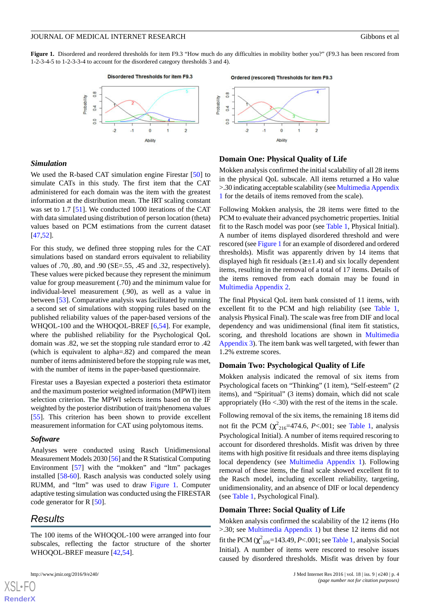<span id="page-3-0"></span>Figure 1. Disordered and reordered thresholds for item F9.3 "How much do any difficulties in mobility bother you?" (F9.3 has been rescored from 1-2-3-4-5 to 1-2-3-3-4 to account for the disordered category thresholds 3 and 4).



# $\overline{0.8}$

### **Domain One: Physical Quality of Life**

We used the R-based CAT simulation engine Firestar [\[50](#page-9-4)] to simulate CATs in this study. The first item that the CAT administered for each domain was the item with the greatest information at the distribution mean. The IRT scaling constant was set to 1.7 [\[51](#page-9-5)]. We conducted 1000 iterations of the CAT with data simulated using distribution of person location (theta) values based on PCM estimations from the current dataset [[47](#page-9-1)[,52](#page-9-6)].

For this study, we defined three stopping rules for the CAT simulations based on standard errors equivalent to reliability values of .70, .80, and .90 (SE=.55, .45 and .32, respectively). These values were picked because they represent the minimum value for group measurement (.70) and the minimum value for individual-level measurement (.90), as well as a value in between [[53\]](#page-9-7). Comparative analysis was facilitated by running a second set of simulations with stopping rules based on the published reliability values of the paper-based versions of the WHQOL-100 and the WHOQOL-BREF [\[6,](#page-7-5)[54\]](#page-9-8). For example, where the published reliability for the Psychological QoL domain was .82, we set the stopping rule standard error to .42 (which is equivalent to alpha=.82) and compared the mean number of items administered before the stopping rule was met, with the number of items in the paper-based questionnaire.

Firestar uses a Bayesian expected a posteriori theta estimator and the maximum posterior weighted information (MPWI) item selection criterion. The MPWI selects items based on the IF weighted by the posterior distribution of trait/phenomena values [[55\]](#page-9-9). This criterion has been shown to provide excellent measurement information for CAT using polytomous items.

#### *Software*

*Simulation*

Analyses were conducted using Rasch Unidimensional Measurement Models 2030 [[56\]](#page-9-10) and the R Statistical Computing Environment [[57\]](#page-9-11) with the "mokken" and "ltm" packages installed [\[58](#page-9-12)[-60](#page-9-13)]. Rasch analysis was conducted solely using RUMM, and "ltm" was used to draw [Figure 1](#page-3-0). Computer adaptive testing simulation was conducted using the FIRESTAR code generator for R [[50\]](#page-9-4).

# *Results*

[XSL](http://www.w3.org/Style/XSL)•FO **[RenderX](http://www.renderx.com/)**

The 100 items of the WHOQOL-100 were arranged into four subscales, reflecting the factor structure of the shorter WHOQOL-BREF measure [[42](#page-8-18)[,54](#page-9-8)].

Villdedor<sup>c</sup>  $0.4$  $\overline{0}$  $\ddot{\mathbf{0}}$  $\overline{2}$ **Ability** 

Ordered (rescored) Thresholds for item F9.3

Mokken analysis confirmed the initial scalability of all 28 items in the physical QoL subscale. All items returned a Ho value >.30 indicating acceptable scalability (see [Multimedia Appendix](#page-6-0) [1](#page-6-0) for the details of items removed from the scale).

Following Mokken analysis, the 28 items were fitted to the PCM to evaluate their advanced psychometric properties. Initial fit to the Rasch model was poor (see [Table 1,](#page-4-0) Physical Initial). A number of items displayed disordered threshold and were rescored (see [Figure 1](#page-3-0) for an example of disordered and ordered thresholds). Misfit was apparently driven by 14 items that displayed high fit residuals  $(≥ ±1.4)$  and six locally dependent items, resulting in the removal of a total of 17 items. Details of the items removed from each domain may be found in [Multimedia Appendix 2.](#page-6-1)

The final Physical QoL item bank consisted of 11 items, with excellent fit to the PCM and high reliability (see [Table 1](#page-4-0), analysis Physical Final). The scale was free from DIF and local dependency and was unidimensional (final item fit statistics, scoring, and threshold locations are shown in [Multimedia](#page-6-2) [Appendix 3](#page-6-2)). The item bank was well targeted, with fewer than 1.2% extreme scores.

#### **Domain Two: Psychological Quality of Life**

Mokken analysis indicated the removal of six items from Psychological facets on "Thinking" (1 item), "Self-esteem" (2 items), and "Spiritual" (3 items) domain, which did not scale appropriately  $(Ho < .30)$  with the rest of the items in the scale.

Following removal of the six items, the remaining 18 items did not fit the PCM  $(\chi^2_{216} = 474.6, P < .001$ ; see [Table 1](#page-4-0), analysis Psychological Initial). A number of items required rescoring to account for disordered thresholds. Misfit was driven by three items with high positive fit residuals and three items displaying local dependency (see [Multimedia Appendix 1\)](#page-6-0). Following removal of these items, the final scale showed excellent fit to the Rasch model, including excellent reliability, targeting, unidimensionality, and an absence of DIF or local dependency (see [Table 1,](#page-4-0) Psychological Final).

#### **Domain Three: Social Quality of Life**

Mokken analysis confirmed the scalability of the 12 items (Ho >.30; see [Multimedia Appendix 1\)](#page-6-0) but these 12 items did not fit the PCM  $(\chi^2_{106} = 143.49, P < .001$ ; see [Table 1](#page-4-0), analysis Social Initial). A number of items were rescored to resolve issues caused by disordered thresholds. Misfit was driven by four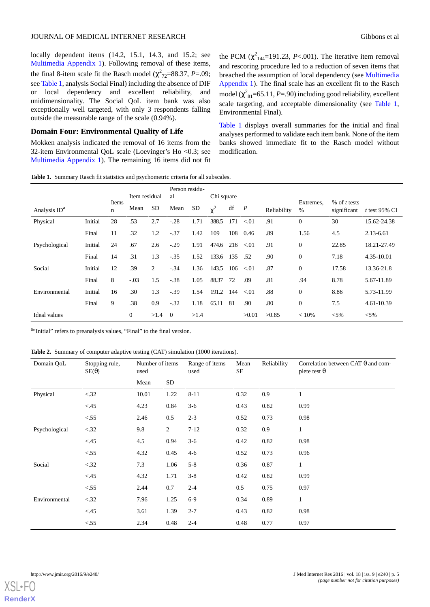locally dependent items (14.2, 15.1, 14.3, and 15.2; see [Multimedia Appendix 1](#page-6-0)). Following removal of these items, the final 8-item scale fit the Rasch model  $(\chi^2_{72} = 88.37, P = .09)$ ; see [Table 1](#page-4-0), analysis Social Final) including the absence of DIF or local dependency and excellent reliability, and unidimensionality. The Social QoL item bank was also exceptionally well targeted, with only 3 respondents falling outside the measurable range of the scale (0.94%).

#### **Domain Four: Environmental Quality of Life**

<span id="page-4-0"></span>Mokken analysis indicated the removal of 16 items from the 32-item Environmental QoL scale (Loevinger's Ho <0.3; see [Multimedia Appendix 1](#page-6-0)). The remaining 16 items did not fit the PCM  $(\chi^2_{144} = 191.23, P < .001)$ . The iterative item removal and rescoring procedure led to a reduction of seven items that breached the assumption of local dependency (see [Multimedia](#page-6-0) [Appendix 1](#page-6-0)). The final scale has an excellent fit to the Rasch model  $(\chi^2_{81} = 65.11, P = .90)$  including good reliability, excellent scale targeting, and acceptable dimensionality (see [Table 1](#page-4-0), Environmental Final).

[Table 1](#page-4-0) displays overall summaries for the initial and final analyses performed to validate each item bank. None of the item banks showed immediate fit to the Rasch model without modification.

**Table 1.** Summary Rasch fit statistics and psychometric criteria for all subscales.

|                          |         |                      | Item residual |      | Person residu-<br>al |           | Chi square     |     |                  |             |                  |                               |                  |
|--------------------------|---------|----------------------|---------------|------|----------------------|-----------|----------------|-----|------------------|-------------|------------------|-------------------------------|------------------|
| Analysis ID <sup>a</sup> |         | Items<br>$\mathbf n$ | Mean          | SD.  | Mean                 | <b>SD</b> | $\mathbf{v}^2$ | df  | $\boldsymbol{P}$ | Reliability | Extremes.<br>%   | % of $t$ tests<br>significant | t test $95\%$ CI |
| Physical                 | Initial | 28                   | .53           | 2.7  | $-.28$               | 1.71      | 388.5          | 171 | < 01             | .91         | $\overline{0}$   | 30                            | 15.62-24.38      |
|                          | Final   | 11                   | .32           | 1.2  | $-.37$               | 1.42      | 109            | 108 | 0.46             | .89         | 1.56             | 4.5                           | $2.13 - 6.61$    |
| Psychological            | Initial | 24                   | .67           | 2.6  | $-.29$               | 1.91      | 474.6          | 216 | < 01             | .91         | $\boldsymbol{0}$ | 22.85                         | 18.21-27.49      |
|                          | Final   | 14                   | .31           | 1.3  | $-.35$               | 1.52      | 133.6          | 135 | .52              | .90         | $\boldsymbol{0}$ | 7.18                          | 4.35-10.01       |
| Social                   | Initial | 12                   | .39           | 2    | $-.34$               | 1.36      | 143.5          | 106 | < 01             | .87         | $\mathbf{0}$     | 17.58                         | 13.36-21.8       |
|                          | Final   | 8                    | $-.03$        | 1.5  | $-.38$               | 1.05      | 88.37          | 72  | .09              | .81         | .94              | 8.78                          | 5.67-11.89       |
| Environmental            | Initial | 16                   | .30           | 1.3  | $-.39$               | 1.54      | 191.2          | 144 | < 01             | .88         | $\overline{0}$   | 8.86                          | 5.73-11.99       |
|                          | Final   | 9                    | .38           | 0.9  | $-.32$               | 1.18      | 65.11          | 81  | .90              | .80         | $\mathbf{0}$     | 7.5                           | 4.61-10.39       |
| Ideal values             |         |                      | $\mathbf{0}$  | >1.4 | $\Omega$             | >1.4      |                |     | >0.01            | >0.85       | < 10%            | $< 5\%$                       | $< 5\%$          |

<span id="page-4-1"></span>au Initial" refers to preanalysis values, "Final" to the final version.

|  |  |  |  |  |  | Table 2. Summary of computer adaptive testing (CAT) simulation (1000 iterations). |  |
|--|--|--|--|--|--|-----------------------------------------------------------------------------------|--|
|--|--|--|--|--|--|-----------------------------------------------------------------------------------|--|

| Domain QoL    | Stopping rule,<br>$SE(\theta)$ | Number of items<br>used |                | Range of items<br>used | Mean<br>SE | Reliability | Correlation between CAT $\theta$ and com-<br>plete test $\theta$ |
|---------------|--------------------------------|-------------------------|----------------|------------------------|------------|-------------|------------------------------------------------------------------|
|               |                                | Mean                    | SD             |                        |            |             |                                                                  |
| Physical      | < .32                          | 10.01                   | 1.22           | $8 - 11$               | 0.32       | 0.9         | 1                                                                |
|               | < 45                           | 4.23                    | 0.84           | $3-6$                  | 0.43       | 0.82        | 0.99                                                             |
|               | < 55                           | 2.46                    | 0.5            | $2 - 3$                | 0.52       | 0.73        | 0.98                                                             |
| Psychological | < .32                          | 9.8                     | $\overline{2}$ | $7 - 12$               | 0.32       | 0.9         | $\mathbf{1}$                                                     |
|               | < 45                           | 4.5                     | 0.94           | $3-6$                  | 0.42       | 0.82        | 0.98                                                             |
|               | < 55                           | 4.32                    | 0.45           | $4 - 6$                | 0.52       | 0.73        | 0.96                                                             |
| Social        | < .32                          | 7.3                     | 1.06           | $5 - 8$                | 0.36       | 0.87        | $\mathbf{1}$                                                     |
|               | < .45                          | 4.32                    | 1.71           | $3 - 8$                | 0.42       | 0.82        | 0.99                                                             |
|               | < 55                           | 2.44                    | 0.7            | $2 - 4$                | 0.5        | 0.75        | 0.97                                                             |
| Environmental | < .32                          | 7.96                    | 1.25           | $6-9$                  | 0.34       | 0.89        | $\mathbf{1}$                                                     |
|               | < .45                          | 3.61                    | 1.39           | $2 - 7$                | 0.43       | 0.82        | 0.98                                                             |
|               | < 55                           | 2.34                    | 0.48           | $2 - 4$                | 0.48       | 0.77        | 0.97                                                             |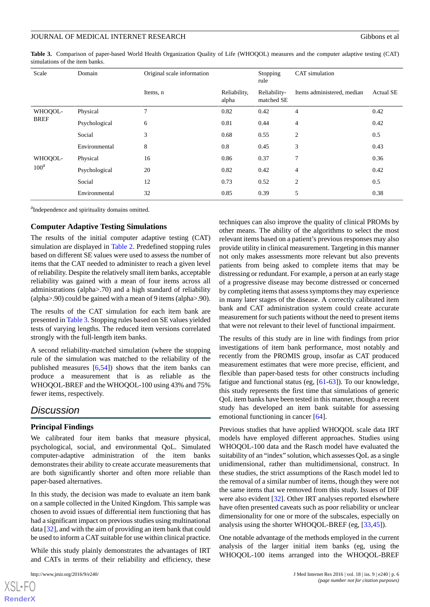<span id="page-5-0"></span>**Table 3.** Comparison of paper-based World Health Organization Quality of Life (WHOQOL) measures and the computer adaptive testing (CAT) simulations of the item banks.

| Scale                  | Domain        | Original scale information |                       | Stopping<br>rule           | CAT simulation             |                  |  |
|------------------------|---------------|----------------------------|-----------------------|----------------------------|----------------------------|------------------|--|
|                        |               | Items, n                   | Reliability,<br>alpha | Reliability-<br>matched SE | Items administered, median | <b>Actual SE</b> |  |
| WHOQOL-<br><b>BREF</b> | Physical      | 7                          | 0.82                  | 0.42                       | $\overline{4}$             | 0.42             |  |
|                        | Psychological | 6                          | 0.81                  | 0.44                       | $\overline{4}$             | 0.42             |  |
|                        | Social        | 3                          | 0.68                  | 0.55                       | $\overline{2}$             | 0.5              |  |
|                        | Environmental | 8                          | 0.8                   | 0.45                       | 3                          | 0.43             |  |
| WHOQOL-<br>$100^a$     | Physical      | 16                         | 0.86                  | 0.37                       | 7                          | 0.36             |  |
|                        | Psychological | 20                         | 0.82                  | 0.42                       | $\overline{4}$             | 0.42             |  |
|                        | Social        | 12                         | 0.73                  | 0.52                       | $\overline{2}$             | 0.5              |  |
|                        | Environmental | 32                         | 0.85                  | 0.39                       | 5                          | 0.38             |  |

<sup>a</sup>Independence and spirituality domains omitted.

#### **Computer Adaptive Testing Simulations**

The results of the initial computer adaptive testing (CAT) simulation are displayed in [Table 2.](#page-4-1) Predefined stopping rules based on different SE values were used to assess the number of items that the CAT needed to administer to reach a given level of reliability. Despite the relatively small item banks, acceptable reliability was gained with a mean of four items across all administrations (alpha>.70) and a high standard of reliability (alpha>.90) could be gained with a mean of 9 items (alpha>.90).

The results of the CAT simulation for each item bank are presented in [Table 3](#page-5-0). Stopping rules based on SE values yielded tests of varying lengths. The reduced item versions correlated strongly with the full-length item banks.

A second reliability-matched simulation (where the stopping rule of the simulation was matched to the reliability of the published measures  $[6,54]$  $[6,54]$  $[6,54]$  $[6,54]$ ) shows that the item banks can produce a measurement that is as reliable as the WHOQOL-BREF and the WHOQOL-100 using 43% and 75% fewer items, respectively.

# *Discussion*

#### **Principal Findings**

We calibrated four item banks that measure physical, psychological, social, and environmental QoL. Simulated computer-adaptive administration of the item banks demonstrates their ability to create accurate measurements that are both significantly shorter and often more reliable than paper-based alternatives.

In this study, the decision was made to evaluate an item bank on a sample collected in the United Kingdom. This sample was chosen to avoid issues of differential item functioning that has had a significant impact on previous studies using multinational data [\[32](#page-8-9)], and with the aim of providing an item bank that could be used to inform a CAT suitable for use within clinical practice.

While this study plainly demonstrates the advantages of IRT and CATs in terms of their reliability and efficiency, these

 $XS$  • FC **[RenderX](http://www.renderx.com/)** techniques can also improve the quality of clinical PROMs by other means. The ability of the algorithms to select the most relevant items based on a patient's previous responses may also provide utility in clinical measurement. Targeting in this manner not only makes assessments more relevant but also prevents patients from being asked to complete items that may be distressing or redundant. For example, a person at an early stage of a progressive disease may become distressed or concerned by completing items that assess symptoms they may experience in many later stages of the disease. A correctly calibrated item bank and CAT administration system could create accurate measurement for such patients without the need to present items that were not relevant to their level of functional impairment.

The results of this study are in line with findings from prior investigations of item bank performance, most notably and recently from the PROMIS group, insofar as CAT produced measurement estimates that were more precise, efficient, and flexible than paper-based tests for other constructs including fatigue and functional status (eg, [[61](#page-9-14)[-63](#page-9-15)]). To our knowledge, this study represents the first time that simulations of generic QoL item banks have been tested in this manner, though a recent study has developed an item bank suitable for assessing emotional functioning in cancer [[64\]](#page-9-16).

Previous studies that have applied WHOQOL scale data IRT models have employed different approaches. Studies using WHOQOL-100 data and the Rasch model have evaluated the suitability of an "index" solution, which assesses QoL as a single unidimensional, rather than multidimensional, construct. In these studies, the strict assumptions of the Rasch model led to the removal of a similar number of items, though they were not the same items that we removed from this study. Issues of DIF were also evident [\[32](#page-8-9)]. Other IRT analyses reported elsewhere have often presented caveats such as poor reliability or unclear dimensionality for one or more of the subscales, especially on analysis using the shorter WHOQOL-BREF (eg, [[33,](#page-8-10)[45](#page-8-21)]).

One notable advantage of the methods employed in the current analysis of the larger initial item banks (eg, using the WHOQOL-100 items arranged into the WHOQOL-BREF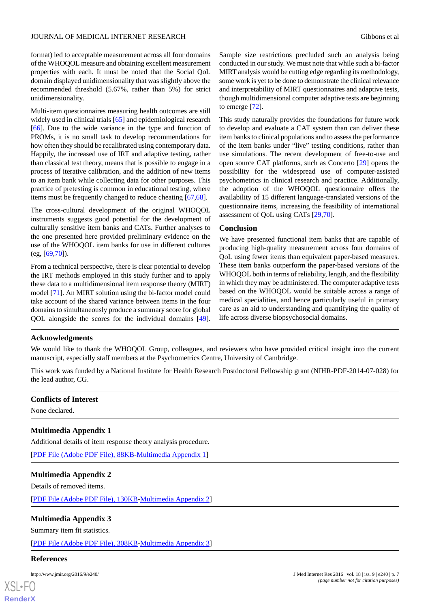format) led to acceptable measurement across all four domains of the WHOQOL measure and obtaining excellent measurement properties with each. It must be noted that the Social QoL domain displayed unidimensionality that was slightly above the recommended threshold (5.67%, rather than 5%) for strict unidimensionality.

Multi-item questionnaires measuring health outcomes are still widely used in clinical trials [[65\]](#page-9-17) and epidemiological research [[66\]](#page-9-18). Due to the wide variance in the type and function of PROMs, it is no small task to develop recommendations for how often they should be recalibrated using contemporary data. Happily, the increased use of IRT and adaptive testing, rather than classical test theory, means that is possible to engage in a process of iterative calibration, and the addition of new items to an item bank while collecting data for other purposes. This practice of pretesting is common in educational testing, where items must be frequently changed to reduce cheating [\[67](#page-9-19),[68\]](#page-9-20).

The cross-cultural development of the original WHOQOL instruments suggests good potential for the development of culturally sensitive item banks and CATs. Further analyses to the one presented here provided preliminary evidence on the use of the WHOQOL item banks for use in different cultures (eg, [[69,](#page-9-21)[70\]](#page-9-22)).

From a technical perspective, there is clear potential to develop the IRT methods employed in this study further and to apply these data to a multidimensional item response theory (MIRT) model [\[71](#page-9-23)]. An MIRT solution using the bi-factor model could take account of the shared variance between items in the four domains to simultaneously produce a summary score for global QOL alongside the scores for the individual domains [[49\]](#page-9-3).

Sample size restrictions precluded such an analysis being conducted in our study. We must note that while such a bi-factor MIRT analysis would be cutting edge regarding its methodology, some work is yet to be done to demonstrate the clinical relevance and interpretability of MIRT questionnaires and adaptive tests, though multidimensional computer adaptive tests are beginning to emerge [[72\]](#page-9-24).

This study naturally provides the foundations for future work to develop and evaluate a CAT system than can deliver these item banks to clinical populations and to assess the performance of the item banks under "live" testing conditions, rather than use simulations. The recent development of free-to-use and open source CAT platforms, such as Concerto [[29\]](#page-8-6) opens the possibility for the widespread use of computer-assisted psychometrics in clinical research and practice. Additionally, the adoption of the WHOQOL questionnaire offers the availability of 15 different language-translated versions of the questionnaire items, increasing the feasibility of international assessment of QoL using CATs [\[29](#page-8-6),[70\]](#page-9-22).

#### **Conclusion**

We have presented functional item banks that are capable of producing high-quality measurement across four domains of QoL using fewer items than equivalent paper-based measures. These item banks outperform the paper-based versions of the WHOQOL both in terms of reliability, length, and the flexibility in which they may be administered. The computer adaptive tests based on the WHOQOL would be suitable across a range of medical specialities, and hence particularly useful in primary care as an aid to understanding and quantifying the quality of life across diverse biopsychosocial domains.

#### **Acknowledgments**

We would like to thank the WHOQOL Group, colleagues, and reviewers who have provided critical insight into the current manuscript, especially staff members at the Psychometrics Centre, University of Cambridge.

This work was funded by a National Institute for Health Research Postdoctoral Fellowship grant (NIHR-PDF-2014-07-028) for the lead author, CG.

#### <span id="page-6-0"></span>**Conflicts of Interest**

None declared.

#### <span id="page-6-1"></span>**Multimedia Appendix 1**

Additional details of item response theory analysis procedure.

[[PDF File \(Adobe PDF File\), 88KB-Multimedia Appendix 1](https://jmir.org/api/download?alt_name=jmir_v18i9e240_app1.pdf&filename=61b915baf02855cf0ede614c8802505d.pdf)]

#### <span id="page-6-2"></span>**Multimedia Appendix 2**

Details of removed items.

[[PDF File \(Adobe PDF File\), 130KB-Multimedia Appendix 2](https://jmir.org/api/download?alt_name=jmir_v18i9e240_app2.pdf&filename=fe3999fd9ed65d9a28a6a6983a9461d9.pdf)]

#### **Multimedia Appendix 3**

Summary item fit statistics.

[[PDF File \(Adobe PDF File\), 308KB-Multimedia Appendix 3](https://jmir.org/api/download?alt_name=jmir_v18i9e240_app3.pdf&filename=a57a722b26aa34ea6622c349db3c70bb.pdf)]

#### **References**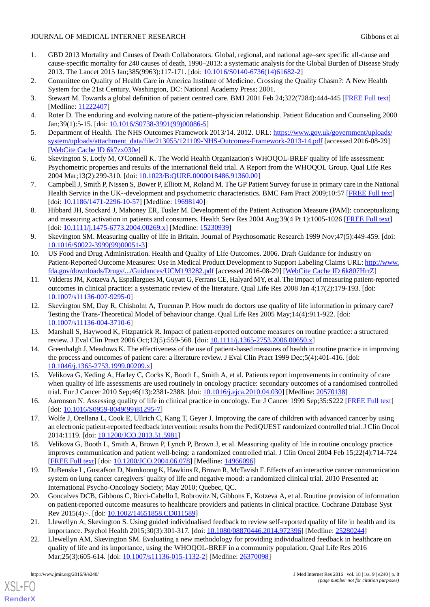- <span id="page-7-0"></span>1. GBD 2013 Mortality and Causes of Death Collaborators. Global, regional, and national age–sex specific all-cause and cause-specific mortality for 240 causes of death, 1990–2013: a systematic analysis for the Global Burden of Disease Study 2013. The Lancet 2015 Jan;385(9963):117-171. [doi: [10.1016/S0140-6736\(14\)61682-2](http://dx.doi.org/10.1016/S0140-6736(14)61682-2)]
- <span id="page-7-2"></span><span id="page-7-1"></span>2. Committee on Quality of Health Care in America Institute of Medicine. Crossing the Quality Chasm?: A New Health System for the 21st Century. Washington, DC: National Academy Press; 2001.
- <span id="page-7-3"></span>3. Stewart M. Towards a global definition of patient centred care. BMJ 2001 Feb 24;322(7284):444-445 [[FREE Full text\]](http://europepmc.org/abstract/MED/11222407) [Medline: [11222407](http://www.ncbi.nlm.nih.gov/entrez/query.fcgi?cmd=Retrieve&db=PubMed&list_uids=11222407&dopt=Abstract)]
- <span id="page-7-4"></span>4. Roter D. The enduring and evolving nature of the patient–physician relationship. Patient Education and Counseling 2000 Jan;39(1):5-15. [doi: [10.1016/S0738-3991\(99\)00086-5\]](http://dx.doi.org/10.1016/S0738-3991(99)00086-5)
- <span id="page-7-5"></span>5. Department of Health. The NHS Outcomes Framework 2013/14. 2012. URL: [https://www.gov.uk/government/uploads/](https://www.gov.uk/government/uploads/system/uploads/attachment_data/file/213055/121109-NHS-Outcomes-Framework-2013-14.pdf) [system/uploads/attachment\\_data/file/213055/121109-NHS-Outcomes-Framework-2013-14.pdf](https://www.gov.uk/government/uploads/system/uploads/attachment_data/file/213055/121109-NHS-Outcomes-Framework-2013-14.pdf) [accessed 2016-08-29] [[WebCite Cache ID 6k7zx030e\]](http://www.webcitation.org/

                                6k7zx030e)
- <span id="page-7-6"></span>6. Skevington S, Lotfy M, O'Connell K. The World Health Organization's WHOQOL-BREF quality of life assessment: Psychometric properties and results of the international field trial. A Report from the WHOQOL Group. Qual Life Res 2004 Mar;13(2):299-310. [doi: [10.1023/B:QURE.0000018486.91360.00\]](http://dx.doi.org/10.1023/B:QURE.0000018486.91360.00)
- <span id="page-7-7"></span>7. Campbell J, Smith P, Nissen S, Bower P, Elliott M, Roland M. The GP Patient Survey for use in primary care in the National Health Service in the UK--development and psychometric characteristics. BMC Fam Pract 2009;10:57 [[FREE Full text](http://bmcfampract.biomedcentral.com/articles/10.1186/1471-2296-10-57)] [doi: [10.1186/1471-2296-10-57](http://dx.doi.org/10.1186/1471-2296-10-57)] [Medline: [19698140\]](http://www.ncbi.nlm.nih.gov/entrez/query.fcgi?cmd=Retrieve&db=PubMed&list_uids=19698140&dopt=Abstract)
- <span id="page-7-8"></span>8. Hibbard JH, Stockard J, Mahoney ER, Tusler M. Development of the Patient Activation Measure (PAM): conceptualizing and measuring activation in patients and consumers. Health Serv Res 2004 Aug;39(4 Pt 1):1005-1026 [[FREE Full text](http://europepmc.org/abstract/MED/15230939)] [doi: [10.1111/j.1475-6773.2004.00269.x](http://dx.doi.org/10.1111/j.1475-6773.2004.00269.x)] [Medline: [15230939](http://www.ncbi.nlm.nih.gov/entrez/query.fcgi?cmd=Retrieve&db=PubMed&list_uids=15230939&dopt=Abstract)]
- <span id="page-7-9"></span>9. Skevington SM. Measuring quality of life in Britain. Journal of Psychosomatic Research 1999 Nov;47(5):449-459. [doi: [10.1016/S0022-3999\(99\)00051-3\]](http://dx.doi.org/10.1016/S0022-3999(99)00051-3)
- <span id="page-7-10"></span>10. US Food and Drug Administration. Health and Quality of Life Outcomes. 2006. Draft Guidance for Industry on Patient-Reported Outcome Measures: Use in Medical Product Development to Support Labeling Claims URL: [http://www.](http://www.fda.gov/downloads/Drugs/.../Guidances/UCM193282.pdf) [fda.gov/downloads/Drugs/.../Guidances/UCM193282.pdf](http://www.fda.gov/downloads/Drugs/.../Guidances/UCM193282.pdf) [accessed 2016-08-29] [[WebCite Cache ID 6k807HrrZ](http://www.webcitation.org/

                                6k807HrrZ)]
- <span id="page-7-11"></span>11. Valderas JM, Kotzeva A, Espallargues M, Guyatt G, Ferrans CE, Halyard MY, et al. The impact of measuring patient-reported outcomes in clinical practice: a systematic review of the literature. Qual Life Res 2008 Jan 4;17(2):179-193. [doi: [10.1007/s11136-007-9295-0\]](http://dx.doi.org/10.1007/s11136-007-9295-0)
- <span id="page-7-13"></span><span id="page-7-12"></span>12. Skevington SM, Day R, Chisholm A, Trueman P. How much do doctors use quality of life information in primary care? Testing the Trans-Theoretical Model of behaviour change. Qual Life Res 2005 May;14(4):911-922. [doi: [10.1007/s11136-004-3710-6\]](http://dx.doi.org/10.1007/s11136-004-3710-6)
- <span id="page-7-14"></span>13. Marshall S, Haywood K, Fitzpatrick R. Impact of patient-reported outcome measures on routine practice: a structured review. J Eval Clin Pract 2006 Oct;12(5):559-568. [doi: [10.1111/j.1365-2753.2006.00650.x\]](http://dx.doi.org/10.1111/j.1365-2753.2006.00650.x)
- 14. Greenhalgh J, Meadows K. The effectiveness of the use of patient-based measures of health in routine practice in improving the process and outcomes of patient care: a literature review. J Eval Clin Pract 1999 Dec;5(4):401-416. [doi: [10.1046/j.1365-2753.1999.00209.x\]](http://dx.doi.org/10.1046/j.1365-2753.1999.00209.x)
- 15. Velikova G, Keding A, Harley C, Cocks K, Booth L, Smith A, et al. Patients report improvements in continuity of care when quality of life assessments are used routinely in oncology practice: secondary outcomes of a randomised controlled trial. Eur J Cancer 2010 Sep;46(13):2381-2388. [doi: [10.1016/j.ejca.2010.04.030](http://dx.doi.org/10.1016/j.ejca.2010.04.030)] [Medline: [20570138](http://www.ncbi.nlm.nih.gov/entrez/query.fcgi?cmd=Retrieve&db=PubMed&list_uids=20570138&dopt=Abstract)]
- 16. Aaronson N. Assessing quality of life in clinical practice in oncology. Eur J Cancer 1999 Sep;35:S222 [\[FREE Full text\]](http://onlinelibrary.wiley.com/o/cochrane/clcentral/articles/363/CN-00205363/frame.html) [doi: [10.1016/S0959-8049\(99\)81295-7](http://dx.doi.org/10.1016/S0959-8049(99)81295-7)]
- <span id="page-7-15"></span>17. Wolfe J, Orellana L, Cook E, Ullrich C, Kang T, Geyer J. Improving the care of children with advanced cancer by using an electronic patient-reported feedback intervention: results from the PediQUEST randomized controlled trial. J Clin Oncol 2014:1119. [doi: [10.1200/JCO.2013.51.5981](http://dx.doi.org/10.1200/JCO.2013.51.5981)]
- <span id="page-7-16"></span>18. Velikova G, Booth L, Smith A, Brown P, Lynch P, Brown J, et al. Measuring quality of life in routine oncology practice improves communication and patient well-being: a randomized controlled trial. J Clin Oncol 2004 Feb 15;22(4):714-724 [[FREE Full text](http://jco.ascopubs.org/cgi/pmidlookup?view=long&pmid=14966096)] [doi: [10.1200/JCO.2004.06.078](http://dx.doi.org/10.1200/JCO.2004.06.078)] [Medline: [14966096\]](http://www.ncbi.nlm.nih.gov/entrez/query.fcgi?cmd=Retrieve&db=PubMed&list_uids=14966096&dopt=Abstract)
- <span id="page-7-17"></span>19. DuBenske L, Gustafson D, Namkoong K, Hawkins R, Brown R, McTavish F. Effects of an interactive cancer communication system on lung cancer caregivers' quality of life and negative mood: a randomized clinical trial. 2010 Presented at: International Psycho-Oncology Society; May 2010; Quebec, QC.
- <span id="page-7-18"></span>20. Goncalves DCB, Gibbons C, Ricci-Cabello I, Bobrovitz N, Gibbons E, Kotzeva A, et al. Routine provision of information on patient-reported outcome measures to healthcare providers and patients in clinical practice. Cochrane Database Syst Rev 2015(4):-. [doi: [10.1002/14651858.CD011589\]](http://dx.doi.org/10.1002/14651858.CD011589)
- 21. Llewellyn A, Skevington S. Using guided individualised feedback to review self-reported quality of life in health and its importance. Psychol Health 2015;30(3):301-317. [doi: [10.1080/08870446.2014.972396](http://dx.doi.org/10.1080/08870446.2014.972396)] [Medline: [25280244\]](http://www.ncbi.nlm.nih.gov/entrez/query.fcgi?cmd=Retrieve&db=PubMed&list_uids=25280244&dopt=Abstract)
- 22. Llewellyn AM, Skevington SM. Evaluating a new methodology for providing individualized feedback in healthcare on quality of life and its importance, using the WHOQOL-BREF in a community population. Qual Life Res 2016 Mar;25(3):605-614. [doi: [10.1007/s11136-015-1132-2](http://dx.doi.org/10.1007/s11136-015-1132-2)] [Medline: [26370098](http://www.ncbi.nlm.nih.gov/entrez/query.fcgi?cmd=Retrieve&db=PubMed&list_uids=26370098&dopt=Abstract)]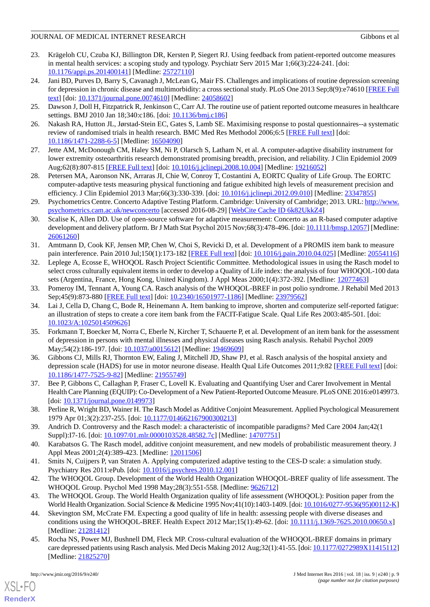- <span id="page-8-0"></span>23. Krägeloh CU, Czuba KJ, Billington DR, Kersten P, Siegert RJ. Using feedback from patient-reported outcome measures in mental health services: a scoping study and typology. Psychiatr Serv 2015 Mar 1;66(3):224-241. [doi: [10.1176/appi.ps.201400141\]](http://dx.doi.org/10.1176/appi.ps.201400141) [Medline: [25727110\]](http://www.ncbi.nlm.nih.gov/entrez/query.fcgi?cmd=Retrieve&db=PubMed&list_uids=25727110&dopt=Abstract)
- <span id="page-8-1"></span>24. Jani BD, Purves D, Barry S, Cavanagh J, McLean G, Mair FS. Challenges and implications of routine depression screening for depression in chronic disease and multimorbidity: a cross sectional study. PLoS One 2013 Sep;8(9):e74610 [\[FREE Full](http://dx.plos.org/10.1371/journal.pone.0074610) [text](http://dx.plos.org/10.1371/journal.pone.0074610)] [doi: [10.1371/journal.pone.0074610\]](http://dx.doi.org/10.1371/journal.pone.0074610) [Medline: [24058602](http://www.ncbi.nlm.nih.gov/entrez/query.fcgi?cmd=Retrieve&db=PubMed&list_uids=24058602&dopt=Abstract)]
- <span id="page-8-3"></span><span id="page-8-2"></span>25. Dawson J, Doll H, Fitzpatrick R, Jenkinson C, Carr AJ. The routine use of patient reported outcome measures in healthcare settings. BMJ 2010 Jan 18;340:c186. [doi: [10.1136/bmj.c186\]](http://dx.doi.org/10.1136/bmj.c186)
- <span id="page-8-4"></span>26. Nakash RA, Hutton JL, Jørstad-Stein EC, Gates S, Lamb SE. Maximising response to postal questionnaires--a systematic review of randomised trials in health research. BMC Med Res Methodol 2006;6:5 [[FREE Full text](http://bmcmedresmethodol.biomedcentral.com/articles/10.1186/1471-2288-6-5)] [doi: [10.1186/1471-2288-6-5\]](http://dx.doi.org/10.1186/1471-2288-6-5) [Medline: [16504090\]](http://www.ncbi.nlm.nih.gov/entrez/query.fcgi?cmd=Retrieve&db=PubMed&list_uids=16504090&dopt=Abstract)
- <span id="page-8-5"></span>27. Jette AM, McDonough CM, Haley SM, Ni P, Olarsch S, Latham N, et al. A computer-adaptive disability instrument for lower extremity osteoarthritis research demonstrated promising breadth, precision, and reliability. J Clin Epidemiol 2009 Aug;62(8):807-815 [\[FREE Full text](http://europepmc.org/abstract/MED/19216052)] [doi: [10.1016/j.jclinepi.2008.10.004\]](http://dx.doi.org/10.1016/j.jclinepi.2008.10.004) [Medline: [19216052\]](http://www.ncbi.nlm.nih.gov/entrez/query.fcgi?cmd=Retrieve&db=PubMed&list_uids=19216052&dopt=Abstract)
- <span id="page-8-6"></span>28. Petersen MA, Aaronson NK, Arraras JI, Chie W, Conroy T, Costantini A, EORTC Quality of Life Group. The EORTC computer-adaptive tests measuring physical functioning and fatigue exhibited high levels of measurement precision and efficiency. J Clin Epidemiol 2013 Mar;66(3):330-339. [doi: [10.1016/j.jclinepi.2012.09.010\]](http://dx.doi.org/10.1016/j.jclinepi.2012.09.010) [Medline: [23347855\]](http://www.ncbi.nlm.nih.gov/entrez/query.fcgi?cmd=Retrieve&db=PubMed&list_uids=23347855&dopt=Abstract)
- <span id="page-8-7"></span>29. Psychometrics Centre. Concerto Adaptive Testing Platform. Cambridge: University of Cambridge; 2013. URL: [http://www.](http://www.psychometrics.cam.ac.uk/newconcerto) [psychometrics.cam.ac.uk/newconcerto](http://www.psychometrics.cam.ac.uk/newconcerto) [accessed 2016-08-29] [\[WebCite Cache ID 6k82UkkZ4](http://www.webcitation.org/

                                6k82UkkZ4)]
- <span id="page-8-8"></span>30. Scalise K, Allen DD. Use of open-source software for adaptive measurement: Concerto as an R-based computer adaptive development and delivery platform. Br J Math Stat Psychol 2015 Nov;68(3):478-496. [doi: [10.1111/bmsp.12057](http://dx.doi.org/10.1111/bmsp.12057)] [Medline: [26061260](http://www.ncbi.nlm.nih.gov/entrez/query.fcgi?cmd=Retrieve&db=PubMed&list_uids=26061260&dopt=Abstract)]
- <span id="page-8-9"></span>31. Amtmann D, Cook KF, Jensen MP, Chen W, Choi S, Revicki D, et al. Development of a PROMIS item bank to measure pain interference. Pain 2010 Jul;150(1):173-182 [\[FREE Full text](http://europepmc.org/abstract/MED/20554116)] [doi: [10.1016/j.pain.2010.04.025\]](http://dx.doi.org/10.1016/j.pain.2010.04.025) [Medline: [20554116](http://www.ncbi.nlm.nih.gov/entrez/query.fcgi?cmd=Retrieve&db=PubMed&list_uids=20554116&dopt=Abstract)]
- <span id="page-8-10"></span>32. Leplege A, Ecosse E, WHOQOL Rasch Project Scientific Committee. Methodological issues in using the Rasch model to select cross culturally equivalent items in order to develop a Quality of Life index: the analysis of four WHOQOL-100 data sets (Argentina, France, Hong Kong, United Kingdom). J Appl Meas 2000;1(4):372-392. [Medline: [12077463](http://www.ncbi.nlm.nih.gov/entrez/query.fcgi?cmd=Retrieve&db=PubMed&list_uids=12077463&dopt=Abstract)]
- <span id="page-8-11"></span>33. Pomeroy IM, Tennant A, Young CA. Rasch analysis of the WHOQOL-BREF in post polio syndrome. J Rehabil Med 2013 Sep;45(9):873-880 [[FREE Full text](http://www.medicaljournals.se/jrm/content/?doi=10.2340/16501977-1186)] [doi: [10.2340/16501977-1186](http://dx.doi.org/10.2340/16501977-1186)] [Medline: [23979562\]](http://www.ncbi.nlm.nih.gov/entrez/query.fcgi?cmd=Retrieve&db=PubMed&list_uids=23979562&dopt=Abstract)
- <span id="page-8-12"></span>34. Lai J, Cella D, Chang C, Bode R, Heinemann A. Item banking to improve, shorten and computerize self-reported fatigue: an illustration of steps to create a core item bank from the FACIT-Fatigue Scale. Qual Life Res 2003:485-501. [doi: [10.1023/A:1025014509626\]](http://dx.doi.org/10.1023/A:1025014509626)
- <span id="page-8-13"></span>35. Forkmann T, Boecker M, Norra C, Eberle N, Kircher T, Schauerte P, et al. Development of an item bank for the assessment of depression in persons with mental illnesses and physical diseases using Rasch analysis. Rehabil Psychol 2009 May;54(2):186-197. [doi: [10.1037/a0015612](http://dx.doi.org/10.1037/a0015612)] [Medline: [19469609](http://www.ncbi.nlm.nih.gov/entrez/query.fcgi?cmd=Retrieve&db=PubMed&list_uids=19469609&dopt=Abstract)]
- <span id="page-8-15"></span><span id="page-8-14"></span>36. Gibbons CJ, Mills RJ, Thornton EW, Ealing J, Mitchell JD, Shaw PJ, et al. Rasch analysis of the hospital anxiety and depression scale (HADS) for use in motor neurone disease. Health Qual Life Outcomes 2011;9:82 [[FREE Full text](http://hqlo.biomedcentral.com/articles/10.1186/1477-7525-9-82)] [doi: [10.1186/1477-7525-9-82\]](http://dx.doi.org/10.1186/1477-7525-9-82) [Medline: [21955749\]](http://www.ncbi.nlm.nih.gov/entrez/query.fcgi?cmd=Retrieve&db=PubMed&list_uids=21955749&dopt=Abstract)
- 37. Bee P, Gibbons C, Callaghan P, Fraser C, Lovell K. Evaluating and Quantifying User and Carer Involvement in Mental Health Care Planning (EQUIP): Co-Development of a New Patient-Reported Outcome Measure. PLoS ONE 2016:e0149973. [doi: [10.1371/journal.pone.0149973\]](http://dx.doi.org/10.1371/journal.pone.0149973)
- <span id="page-8-17"></span><span id="page-8-16"></span>38. Perline R, Wright BD, Wainer H. The Rasch Model as Additive Conjoint Measurement. Applied Psychological Measurement 1979 Apr 01;3(2):237-255. [doi: [10.1177/014662167900300213](http://dx.doi.org/10.1177/014662167900300213)]
- <span id="page-8-18"></span>39. Andrich D. Controversy and the Rasch model: a characteristic of incompatible paradigms? Med Care 2004 Jan;42(1 Suppl):I7-16. [doi: [10.1097/01.mlr.0000103528.48582.7c](http://dx.doi.org/10.1097/01.mlr.0000103528.48582.7c)] [Medline: [14707751\]](http://www.ncbi.nlm.nih.gov/entrez/query.fcgi?cmd=Retrieve&db=PubMed&list_uids=14707751&dopt=Abstract)
- <span id="page-8-19"></span>40. Karabatsos G. The Rasch model, additive conjoint measurement, and new models of probabilistic measurement theory. J Appl Meas 2001;2(4):389-423. [Medline: [12011506\]](http://www.ncbi.nlm.nih.gov/entrez/query.fcgi?cmd=Retrieve&db=PubMed&list_uids=12011506&dopt=Abstract)
- <span id="page-8-20"></span>41. Smits N, Cuijpers P, van Straten A. Applying computerized adaptive testing to the CES-D scale: a simulation study. Psychiatry Res 2011:ePub. [doi: [10.1016/j.psychres.2010.12.001\]](http://dx.doi.org/10.1016/j.psychres.2010.12.001)
- <span id="page-8-21"></span>42. The WHOQOL Group. Development of the World Health Organization WHOQOL-BREF quality of life assessment. The WHOQOL Group. Psychol Med 1998 May;28(3):551-558. [Medline: [9626712](http://www.ncbi.nlm.nih.gov/entrez/query.fcgi?cmd=Retrieve&db=PubMed&list_uids=9626712&dopt=Abstract)]
- 43. The WHOQOL Group. The World Health Organization quality of life assessment (WHOQOL): Position paper from the World Health Organization. Social Science & Medicine 1995 Nov;41(10):1403-1409. [doi: [10.1016/0277-9536\(95\)00112-K](http://dx.doi.org/10.1016/0277-9536(95)00112-K)]
- 44. Skevington SM, McCrate FM. Expecting a good quality of life in health: assessing people with diverse diseases and conditions using the WHOQOL-BREF. Health Expect 2012 Mar;15(1):49-62. [doi: [10.1111/j.1369-7625.2010.00650.x\]](http://dx.doi.org/10.1111/j.1369-7625.2010.00650.x) [Medline: [21281412](http://www.ncbi.nlm.nih.gov/entrez/query.fcgi?cmd=Retrieve&db=PubMed&list_uids=21281412&dopt=Abstract)]
- 45. Rocha NS, Power MJ, Bushnell DM, Fleck MP. Cross-cultural evaluation of the WHOQOL-BREF domains in primary care depressed patients using Rasch analysis. Med Decis Making 2012 Aug;32(1):41-55. [doi: [10.1177/0272989X11415112\]](http://dx.doi.org/10.1177/0272989X11415112) [Medline: [21825270](http://www.ncbi.nlm.nih.gov/entrez/query.fcgi?cmd=Retrieve&db=PubMed&list_uids=21825270&dopt=Abstract)]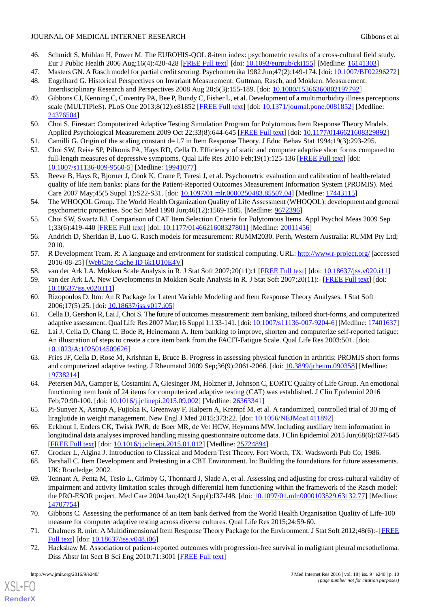- <span id="page-9-0"></span>46. Schmidt S, Mühlan H, Power M. The EUROHIS-QOL 8-item index: psychometric results of a cross-cultural field study. Eur J Public Health 2006 Aug;16(4):420-428 [\[FREE Full text\]](http://eurpub.oxfordjournals.org/cgi/pmidlookup?view=long&pmid=16141303) [doi: [10.1093/eurpub/cki155\]](http://dx.doi.org/10.1093/eurpub/cki155) [Medline: [16141303\]](http://www.ncbi.nlm.nih.gov/entrez/query.fcgi?cmd=Retrieve&db=PubMed&list_uids=16141303&dopt=Abstract)
- <span id="page-9-2"></span><span id="page-9-1"></span>47. Masters GN. A Rasch model for partial credit scoring. Psychometrika 1982 Jun;47(2):149-174. [doi: [10.1007/BF02296272\]](http://dx.doi.org/10.1007/BF02296272)
- <span id="page-9-3"></span>48. Engelhard G. Historical Perspectives on Invariant Measurement: Guttman, Rasch, and Mokken. Measurement: Interdisciplinary Research and Perspectives 2008 Aug 20;6(3):155-189. [doi: [10.1080/15366360802197792\]](http://dx.doi.org/10.1080/15366360802197792)
- 49. Gibbons CJ, Kenning C, Coventry PA, Bee P, Bundy C, Fisher L, et al. Development of a multimorbidity illness perceptions scale (MULTIPleS). PLoS One 2013;8(12):e81852 [\[FREE Full text](http://dx.plos.org/10.1371/journal.pone.0081852)] [doi: [10.1371/journal.pone.0081852\]](http://dx.doi.org/10.1371/journal.pone.0081852) [Medline: [24376504](http://www.ncbi.nlm.nih.gov/entrez/query.fcgi?cmd=Retrieve&db=PubMed&list_uids=24376504&dopt=Abstract)]
- <span id="page-9-5"></span><span id="page-9-4"></span>50. Choi S. Firestar: Computerized Adaptive Testing Simulation Program for Polytomous Item Response Theory Models. Applied Psychological Measurement 2009 Oct 22;33(8):644-645 [[FREE Full text](http://media.metrik.de/uploads/incoming/pub/Literatur/2009_Firestar-)] [doi: [10.1177/0146621608329892\]](http://dx.doi.org/10.1177/0146621608329892)
- <span id="page-9-6"></span>51. Camilli G. Origin of the scaling constant d=1.7 in Item Response Theory. J Educ Behav Stat 1994;19(3):293-295.
- <span id="page-9-7"></span>52. Choi SW, Reise SP, Pilkonis PA, Hays RD, Cella D. Efficiency of static and computer adaptive short forms compared to full-length measures of depressive symptoms. Qual Life Res 2010 Feb;19(1):125-136 [[FREE Full text](http://europepmc.org/abstract/MED/19941077)] [doi: [10.1007/s11136-009-9560-5\]](http://dx.doi.org/10.1007/s11136-009-9560-5) [Medline: [19941077](http://www.ncbi.nlm.nih.gov/entrez/query.fcgi?cmd=Retrieve&db=PubMed&list_uids=19941077&dopt=Abstract)]
- <span id="page-9-8"></span>53. Reeve B, Hays R, Bjorner J, Cook K, Crane P, Teresi J, et al. Psychometric evaluation and calibration of health-related quality of life item banks: plans for the Patient-Reported Outcomes Measurement Information System (PROMIS). Med Care 2007 May;45(5 Suppl 1):S22-S31. [doi: [10.1097/01.mlr.0000250483.85507.04\]](http://dx.doi.org/10.1097/01.mlr.0000250483.85507.04) [Medline: [17443115\]](http://www.ncbi.nlm.nih.gov/entrez/query.fcgi?cmd=Retrieve&db=PubMed&list_uids=17443115&dopt=Abstract)
- <span id="page-9-9"></span>54. The WHOQOL Group. The World Health Organization Quality of Life Assessment (WHOQOL): development and general psychometric properties. Soc Sci Med 1998 Jun;46(12):1569-1585. [Medline: [9672396](http://www.ncbi.nlm.nih.gov/entrez/query.fcgi?cmd=Retrieve&db=PubMed&list_uids=9672396&dopt=Abstract)]
- <span id="page-9-10"></span>55. Choi SW, Swartz RJ. Comparison of CAT Item Selection Criteria for Polytomous Items. Appl Psychol Meas 2009 Sep 1;33(6):419-440 [[FREE Full text](http://europepmc.org/abstract/MED/20011456)] [doi: [10.1177/0146621608327801\]](http://dx.doi.org/10.1177/0146621608327801) [Medline: [20011456\]](http://www.ncbi.nlm.nih.gov/entrez/query.fcgi?cmd=Retrieve&db=PubMed&list_uids=20011456&dopt=Abstract)
- <span id="page-9-12"></span><span id="page-9-11"></span>56. Andrich D, Sheridan B, Luo G. Rasch models for measurement: RUMM2030. Perth, Western Australia: RUMM Pty Ltd; 2010.
- 57. R Development Team. R: A language and environment for statistical computing. URL:<http://www.r-project.org/> [accessed 2016-08-25] [\[WebCite Cache ID 6k1U10E4V\]](http://www.webcitation.org/

                                6k1U10E4V)
- <span id="page-9-13"></span>58. van der Ark LA. Mokken Scale Analysis in R. J Stat Soft 2007;20(11):1 [[FREE Full text](http://www.jstatsoft.org/v20/a11/paper)] [doi: [10.18637/jss.v020.i11](http://dx.doi.org/10.18637/jss.v020.i11)]
- <span id="page-9-14"></span>59. van der Ark LA. New Developments in Mokken Scale Analysis in R. J Stat Soft 2007;20(11):- [\[FREE Full text\]](http://www.jstatsoft.org/v48/i05/paper) [doi: [10.18637/jss.v020.i11](http://dx.doi.org/10.18637/jss.v020.i11)]
- 60. Rizopoulos D. ltm: An R Package for Latent Variable Modeling and Item Response Theory Analyses. J Stat Soft 2006;17(5):25. [doi: [10.18637/jss.v017.i05\]](http://dx.doi.org/10.18637/jss.v017.i05)
- <span id="page-9-15"></span>61. Cella D, Gershon R, Lai J, Choi S. The future of outcomes measurement: item banking, tailored short-forms, and computerized adaptive assessment. Qual Life Res 2007 Mar;16 Suppl 1:133-141. [doi: [10.1007/s11136-007-9204-6\]](http://dx.doi.org/10.1007/s11136-007-9204-6) [Medline: [17401637](http://www.ncbi.nlm.nih.gov/entrez/query.fcgi?cmd=Retrieve&db=PubMed&list_uids=17401637&dopt=Abstract)]
- 62. Lai J, Cella D, Chang C, Bode R, Heinemann A. Item banking to improve, shorten and computerize self-reported fatigue: An illustration of steps to create a core item bank from the FACIT-Fatigue Scale. Qual Life Res 2003:501. [doi: [10.1023/A:1025014509626\]](http://dx.doi.org/10.1023/A:1025014509626)
- <span id="page-9-17"></span><span id="page-9-16"></span>63. Fries JF, Cella D, Rose M, Krishnan E, Bruce B. Progress in assessing physical function in arthritis: PROMIS short forms and computerized adaptive testing. J Rheumatol 2009 Sep;36(9):2061-2066. [doi: [10.3899/jrheum.090358](http://dx.doi.org/10.3899/jrheum.090358)] [Medline: [19738214](http://www.ncbi.nlm.nih.gov/entrez/query.fcgi?cmd=Retrieve&db=PubMed&list_uids=19738214&dopt=Abstract)]
- <span id="page-9-18"></span>64. Petersen MA, Gamper E, Costantini A, Giesinger JM, Holzner B, Johnson C, EORTC Quality of Life Group. An emotional functioning item bank of 24 items for computerized adaptive testing (CAT) was established. J Clin Epidemiol 2016 Feb;70:90-100. [doi: [10.1016/j.jclinepi.2015.09.002\]](http://dx.doi.org/10.1016/j.jclinepi.2015.09.002) [Medline: [26363341\]](http://www.ncbi.nlm.nih.gov/entrez/query.fcgi?cmd=Retrieve&db=PubMed&list_uids=26363341&dopt=Abstract)
- <span id="page-9-20"></span><span id="page-9-19"></span>65. Pi-Sunyer X, Astrup A, Fujioka K, Greenway F, Halpern A, Krempf M, et al. A randomized, controlled trial of 30 mg of liraglutide in weight management. New Engl J Med 2015;373:22. [doi: [10.1056/NEJMoa1411892\]](http://dx.doi.org/10.1056/NEJMoa1411892)
- <span id="page-9-21"></span>66. Eekhout I, Enders CK, Twisk JWR, de Boer MR, de Vet HCW, Heymans MW. Including auxiliary item information in longitudinal data analyses improved handling missing questionnaire outcome data. J Clin Epidemiol 2015 Jun;68(6):637-645 [[FREE Full text](http://linkinghub.elsevier.com/retrieve/pii/S0895-4356(15)00020-7)] [doi: [10.1016/j.jclinepi.2015.01.012](http://dx.doi.org/10.1016/j.jclinepi.2015.01.012)] [Medline: [25724894](http://www.ncbi.nlm.nih.gov/entrez/query.fcgi?cmd=Retrieve&db=PubMed&list_uids=25724894&dopt=Abstract)]
- 67. Crocker L, Algina J. Introduction to Classical and Modern Test Theory. Fort Worth, TX: Wadsworth Pub Co; 1986.
- <span id="page-9-22"></span>68. Parshall C. Item Development and Pretesting in a CBT Environment. In: Building the foundations for future assessments. UK: Routledge; 2002.
- <span id="page-9-24"></span><span id="page-9-23"></span>69. Tennant A, Penta M, Tesio L, Grimby G, Thonnard J, Slade A, et al. Assessing and adjusting for cross-cultural validity of impairment and activity limitation scales through differential item functioning within the framework of the Rasch model: the PRO-ESOR project. Med Care 2004 Jan;42(1 Suppl):I37-I48. [doi: [10.1097/01.mlr.0000103529.63132.77\]](http://dx.doi.org/10.1097/01.mlr.0000103529.63132.77) [Medline: [14707754](http://www.ncbi.nlm.nih.gov/entrez/query.fcgi?cmd=Retrieve&db=PubMed&list_uids=14707754&dopt=Abstract)]
- 70. Gibbons C. Assessing the performance of an item bank derived from the World Health Organisation Quality of Life-100 measure for computer adaptive testing across diverse cultures. Qual Life Res 2015;24:59-60.
- 71. Chalmers R. mirt: A Multidimensional Item Response Theory Package for the Environment. J Stat Soft 2012;48(6):- [\[FREE](https://scholar.google.co.uk/scholar?hl=en&q=Chalmers+MIRT&btnG=&as_sdt=1%2C5&as_sdtp=#0) [Full text\]](https://scholar.google.co.uk/scholar?hl=en&q=Chalmers+MIRT&btnG=&as_sdt=1%2C5&as_sdtp=#0) [doi: [10.18637/jss.v048.i06\]](http://dx.doi.org/10.18637/jss.v048.i06)
- 72. Hackshaw M. Association of patient-reported outcomes with progression-free survival in malignant pleural mesothelioma. Diss Abstr Int Sect B Sci Eng 2010;71:3001 [\[FREE Full text\]](http://oxfordsfx.hosted.exlibrisgroup.com/oxford?sid=OVID:psycdb&id=pmid:&id=doi:&issn=0419-4217&isbn=9781109731040&volume=71&issue=5-B&spage=3001&pages=3001&date)